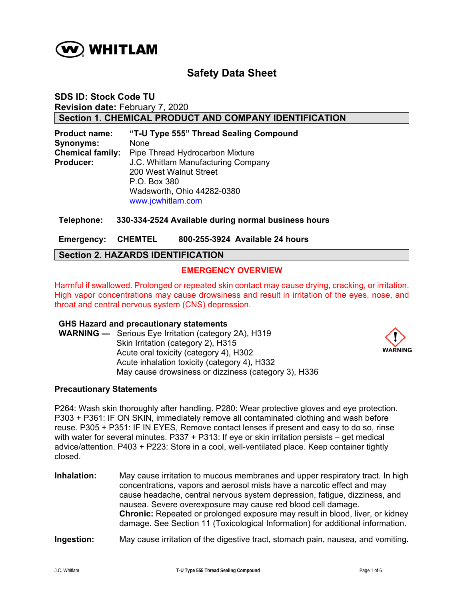

# **Safety Data Sheet**

**SDS ID: Stock Code TU Revision date:** February 7, 2020 **Section 1. CHEMICAL PRODUCT AND COMPANY IDENTIFICATION** 

**Product name: "T-U Type 555" Thread Sealing Compound Synonyms:** None **Chemical family:** Pipe Thread Hydrocarbon Mixture **Producer:** J.C. Whitlam Manufacturing Company 200 West Walnut Street P.O. Box 380 Wadsworth, Ohio 44282-0380 www.jcwhitlam.com

#### **Telephone: 330-334-2524 Available during normal business hours**

**Emergency: CHEMTEL 800-255-3924 Available 24 hours** 

# **Section 2. HAZARDS IDENTIFICATION**

## **EMERGENCY OVERVIEW**

Harmful if swallowed. Prolonged or repeated skin contact may cause drying, cracking, or irritation. High vapor concentrations may cause drowsiness and result in irritation of the eyes, nose, and throat and central nervous system (CNS) depression.

#### **GHS Hazard and precautionary statements**

**WARNING —** Serious Eye Irritation (category 2A), H319 Skin Irritation (category 2), H315 Acute oral toxicity (category 4), H302 Acute inhalation toxicity (category 4), H332 May cause drowsiness or dizziness (category 3), H336



#### **Precautionary Statements**

P264: Wash skin thoroughly after handling. P280: Wear protective gloves and eye protection. P303 + P361: IF ON SKIN, immediately remove all contaminated clothing and wash before reuse. P305 + P351: IF IN EYES, Remove contact lenses if present and easy to do so, rinse with water for several minutes. P337 + P313: If eye or skin irritation persists – get medical advice/attention. P403 + P223: Store in a cool, well-ventilated place. Keep container tightly closed.

**Inhalation:** May cause irritation to mucous membranes and upper respiratory tract. In high concentrations, vapors and aerosol mists have a narcotic effect and may cause headache, central nervous system depression, fatigue, dizziness, and nausea. Severe overexposure may cause red blood cell damage. **Chronic:** Repeated or prolonged exposure may result in blood, liver, or kidney damage. See Section 11 (Toxicological Information) for additional information.

#### **Ingestion:** May cause irritation of the digestive tract, stomach pain, nausea, and vomiting.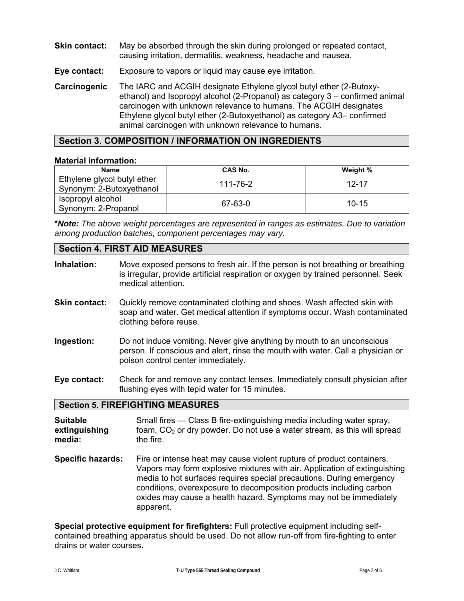- **Skin contact:** May be absorbed through the skin during prolonged or repeated contact, causing irritation, dermatitis, weakness, headache and nausea.
- **Eye contact:** Exposure to vapors or liquid may cause eye irritation.
- **Carcinogenic** The IARC and ACGIH designate Ethylene glycol butyl ether (2-Butoxyethanol) and Isopropyl alcohol (2-Propanol) as category 3 – confirmed animal carcinogen with unknown relevance to humans. The ACGIH designates Ethylene glycol butyl ether (2-Butoxyethanol) as category A3– confirmed animal carcinogen with unknown relevance to humans.

# **Section 3. COMPOSITION / INFORMATION ON INGREDIENTS**

#### **Material information:**

| <b>Name</b>                                             | CAS No.  | Weight %  |
|---------------------------------------------------------|----------|-----------|
| Ethylene glycol butyl ether<br>Synonym: 2-Butoxyethanol | 111-76-2 | $12 - 17$ |
| Isopropyl alcohol<br>Synonym: 2-Propanol                | 67-63-0  | $10 - 15$ |

**\****Note: The above weight percentages are represented in ranges as estimates. Due to variation among production batches, component percentages may vary.*

# **Section 4. FIRST AID MEASURES**

| Inhalation:                                | Move exposed persons to fresh air. If the person is not breathing or breathing<br>is irregular, provide artificial respiration or oxygen by trained personnel. Seek<br>medical attention.       |  |  |
|--------------------------------------------|-------------------------------------------------------------------------------------------------------------------------------------------------------------------------------------------------|--|--|
| <b>Skin contact:</b>                       | Quickly remove contaminated clothing and shoes. Wash affected skin with<br>soap and water. Get medical attention if symptoms occur. Wash contaminated<br>clothing before reuse.                 |  |  |
| Ingestion:                                 | Do not induce vomiting. Never give anything by mouth to an unconscious<br>person. If conscious and alert, rinse the mouth with water. Call a physician or<br>poison control center immediately. |  |  |
| Eye contact:                               | Check for and remove any contact lenses. Immediately consult physician after<br>flushing eyes with tepid water for 15 minutes.                                                                  |  |  |
| <b>Section 5. FIREFIGHTING MEASURES</b>    |                                                                                                                                                                                                 |  |  |
| <b>Suitable</b><br>extinguishing<br>media: | Small fires — Class B fire-extinguishing media including water spray,<br>foam, $CO2$ or dry powder. Do not use a water stream, as this will spread<br>the fire.                                 |  |  |

**Specific hazards:** Fire or intense heat may cause violent rupture of product containers. Vapors may form explosive mixtures with air. Application of extinguishing media to hot surfaces requires special precautions. During emergency conditions, overexposure to decomposition products including carbon oxides may cause a health hazard. Symptoms may not be immediately apparent.

**Special protective equipment for firefighters:** Full protective equipment including selfcontained breathing apparatus should be used. Do not allow run-off from fire-fighting to enter drains or water courses.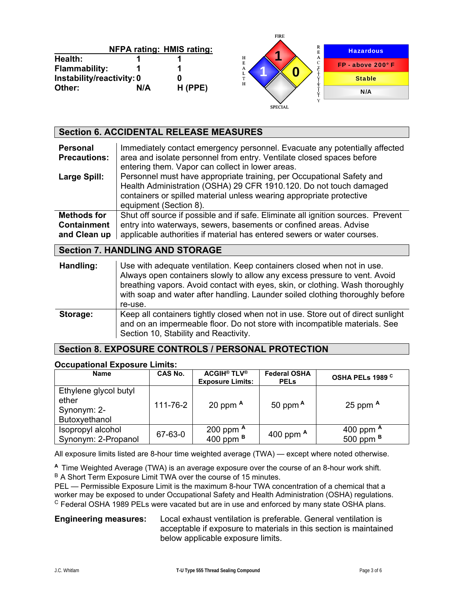|                           |     |                                  | <b>FIRE</b>                             |                     |
|---------------------------|-----|----------------------------------|-----------------------------------------|---------------------|
|                           |     | <b>NFPA rating: HMIS rating:</b> | R                                       | <b>Hazardous</b>    |
| Health:                   |     |                                  | н<br>A                                  |                     |
| <b>Flammability:</b>      |     |                                  | $\sqrt{ }$<br>E<br><b>TP</b><br>А<br>Æ. | $FP - above 200° F$ |
| Instability/reactivity: 0 |     |                                  | m.                                      | <b>Stable</b>       |
| Other:                    | N/A | $H$ (PPE)                        | Н                                       | N/A                 |
|                           |     |                                  | <b>SPECIAL</b>                          |                     |

| <b>Section 6. ACCIDENTAL RELEASE MEASURES</b>            |                                                                                                                                                                                                                                                                                                                                                                                      |  |  |
|----------------------------------------------------------|--------------------------------------------------------------------------------------------------------------------------------------------------------------------------------------------------------------------------------------------------------------------------------------------------------------------------------------------------------------------------------------|--|--|
| <b>Personal</b><br><b>Precautions:</b>                   | Immediately contact emergency personnel. Evacuate any potentially affected<br>area and isolate personnel from entry. Ventilate closed spaces before<br>entering them. Vapor can collect in lower areas.                                                                                                                                                                              |  |  |
| Large Spill:                                             | Personnel must have appropriate training, per Occupational Safety and<br>Health Administration (OSHA) 29 CFR 1910.120. Do not touch damaged<br>containers or spilled material unless wearing appropriate protective<br>equipment (Section 8).                                                                                                                                        |  |  |
| <b>Methods for</b><br><b>Containment</b><br>and Clean up | Shut off source if possible and if safe. Eliminate all ignition sources. Prevent<br>entry into waterways, sewers, basements or confined areas. Advise<br>applicable authorities if material has entered sewers or water courses.                                                                                                                                                     |  |  |
| <b>Section 7. HANDLING AND STORAGE</b>                   |                                                                                                                                                                                                                                                                                                                                                                                      |  |  |
| Handling:                                                | Use with adequate ventilation. Keep containers closed when not in use.<br>Always open containers slowly to allow any excess pressure to vent. Avoid<br>. The contract of the contract of the contract of the contract of the contract of the contract of the contract of the contract of the contract of the contract of the contract of the contract of the contract of the contrac |  |  |

|          | breathing vapors. Avoid contact with eyes, skin, or clothing. Wash thoroughly<br>with soap and water after handling. Launder soiled clothing thoroughly before                                          |
|----------|---------------------------------------------------------------------------------------------------------------------------------------------------------------------------------------------------------|
|          | re-use.                                                                                                                                                                                                 |
| Storage: | Keep all containers tightly closed when not in use. Store out of direct sunlight<br>and on an impermeable floor. Do not store with incompatible materials. See<br>Section 10, Stability and Reactivity. |

# **Section 8. EXPOSURE CONTROLS / PERSONAL PROTECTION**

#### **Occupational Exposure Limits:**

| <b>Name</b>                                                    | CAS No.  | <b>ACGIH<sup>®</sup> TLV<sup>®</sup></b><br><b>Exposure Limits:</b> | <b>Federal OSHA</b><br><b>PELS</b> | OSHA PELs 1989 <sup>C</sup>       |
|----------------------------------------------------------------|----------|---------------------------------------------------------------------|------------------------------------|-----------------------------------|
| Ethylene glycol butyl<br>ether<br>Synonym: 2-<br>Butoxyethanol | 111-76-2 | 20 ppm $A$                                                          | 50 ppm $A$                         | 25 ppm $A$                        |
| Isopropyl alcohol<br>Synonym: 2-Propanol                       | 67-63-0  | 200 ppm $A$<br>400 ppm $B$                                          | 400 ppm $A$                        | 400 ppm A<br>500 ppm <sup>B</sup> |

All exposure limits listed are 8-hour time weighted average (TWA) — except where noted otherwise.

**<sup>A</sup>**Time Weighted Average (TWA) is an average exposure over the course of an 8-hour work shift. B A Short Term Exposure Limit TWA over the course of 15 minutes.

PEL — Permissible Exposure Limit is the maximum 8-hour TWA concentration of a chemical that a worker may be exposed to under Occupational Safety and Health Administration (OSHA) regulations. <sup>C</sup> Federal OSHA 1989 PELs were vacated but are in use and enforced by many state OSHA plans.

**Engineering measures:** Local exhaust ventilation is preferable. General ventilation is acceptable if exposure to materials in this section is maintained below applicable exposure limits.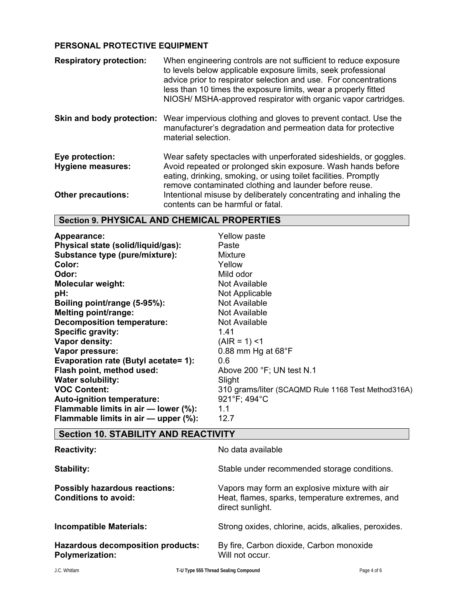# **PERSONAL PROTECTIVE EQUIPMENT**

| <b>Respiratory protection:</b>              | When engineering controls are not sufficient to reduce exposure<br>to levels below applicable exposure limits, seek professional<br>advice prior to respirator selection and use. For concentrations<br>less than 10 times the exposure limits, wear a properly fitted<br>NIOSH/ MSHA-approved respirator with organic vapor cartridges. |
|---------------------------------------------|------------------------------------------------------------------------------------------------------------------------------------------------------------------------------------------------------------------------------------------------------------------------------------------------------------------------------------------|
| Skin and body protection:                   | Wear impervious clothing and gloves to prevent contact. Use the<br>manufacturer's degradation and permeation data for protective<br>material selection.                                                                                                                                                                                  |
| Eye protection:<br><b>Hygiene measures:</b> | Wear safety spectacles with unperforated sideshields, or goggles.<br>Avoid repeated or prolonged skin exposure. Wash hands before<br>eating, drinking, smoking, or using toilet facilities. Promptly<br>remove contaminated clothing and launder before reuse.                                                                           |
| <b>Other precautions:</b>                   | Intentional misuse by deliberately concentrating and inhaling the<br>contents can be harmful or fatal.                                                                                                                                                                                                                                   |

# **Section 9. PHYSICAL AND CHEMICAL PROPERTIES**

| Appearance:<br>Physical state (solid/liquid/gas):<br>Substance type (pure/mixture):<br>Color:<br>Odor:<br><b>Molecular weight:</b><br>pH:<br>Boiling point/range (5-95%):<br><b>Melting point/range:</b><br><b>Decomposition temperature:</b><br>Specific gravity:<br><b>Vapor density:</b> | Yellow paste<br>Paste<br>Mixture<br>Yellow<br>Mild odor<br>Not Available<br>Not Applicable<br>Not Available<br>Not Available<br>Not Available<br>1.41<br>$(AIR = 1)$ <1 |
|---------------------------------------------------------------------------------------------------------------------------------------------------------------------------------------------------------------------------------------------------------------------------------------------|-------------------------------------------------------------------------------------------------------------------------------------------------------------------------|
| Vapor pressure:                                                                                                                                                                                                                                                                             | 0.88 mm Hg at $68^{\circ}$ F                                                                                                                                            |
| Evaporation rate (Butyl acetate= 1):                                                                                                                                                                                                                                                        | 0.6                                                                                                                                                                     |
| Flash point, method used:                                                                                                                                                                                                                                                                   | Above 200 °F; UN test N.1                                                                                                                                               |
| <b>Water solubility:</b><br><b>VOC Content:</b>                                                                                                                                                                                                                                             | Slight                                                                                                                                                                  |
| Auto-ignition temperature:<br>Flammable limits in air - lower (%):<br>Flammable limits in air - upper (%):                                                                                                                                                                                  | 310 grams/liter (SCAQMD Rule 1168 Test Method316A)<br>921°F; 494°C<br>1.1<br>12.7                                                                                       |

# **Section 10. STABILITY AND REACTIVITY**

| <b>Reactivity:</b>                                                  | No data available                                                                                                    |
|---------------------------------------------------------------------|----------------------------------------------------------------------------------------------------------------------|
| Stability:                                                          | Stable under recommended storage conditions.                                                                         |
| <b>Possibly hazardous reactions:</b><br><b>Conditions to avoid:</b> | Vapors may form an explosive mixture with air<br>Heat, flames, sparks, temperature extremes, and<br>direct sunlight. |
| <b>Incompatible Materials:</b>                                      | Strong oxides, chlorine, acids, alkalies, peroxides.                                                                 |
| <b>Hazardous decomposition products:</b><br><b>Polymerization:</b>  | By fire, Carbon dioxide, Carbon monoxide<br>Will not occur.                                                          |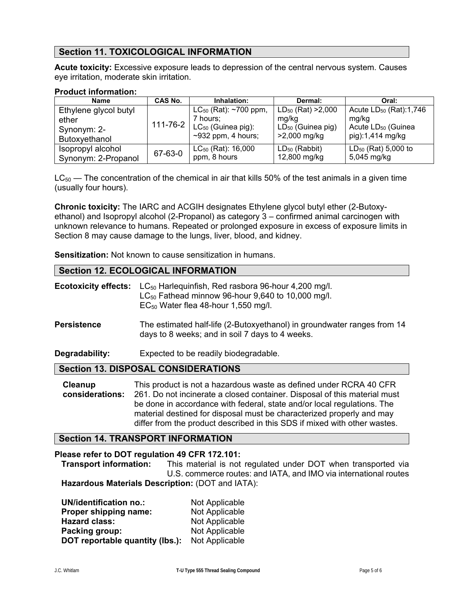# **Section 11. TOXICOLOGICAL INFORMATION**

**Acute toxicity:** Excessive exposure leads to depression of the central nervous system. Causes eye irritation, moderate skin irritation.

#### **Product information:**

| <b>Name</b>           | CAS No. | Inhalation:                                          | Dermal:                 | Oral:                              |
|-----------------------|---------|------------------------------------------------------|-------------------------|------------------------------------|
| Ethylene glycol butyl |         | $LC_{50}$ (Rat): ~700 ppm,                           | $LD_{50}$ (Rat) > 2,000 | Acute LD <sub>50</sub> (Rat):1,746 |
| ether                 |         | 7 hours:                                             | mg/kg                   | mg/kg                              |
| Synonym: 2-           |         | $_1$ 111-76-2 $\vert$ LC <sub>50</sub> (Guinea pig): | $LD_{50}$ (Guinea pig)  | Acute LD <sub>50</sub> (Guinea     |
| Butoxyethanol         |         | $~2932$ ppm, 4 hours;                                | >2,000 mg/kg            | pig):1,414 mg/kg                   |
| Isopropyl alcohol     | 67-63-0 | $LC_{50}$ (Rat): 16,000                              | $LD_{50}$ (Rabbit)      | $LD_{50}$ (Rat) 5,000 to           |
| Synonym: 2-Propanol   |         | ppm, 8 hours                                         | 12,800 mg/kg            | 5,045 mg/kg                        |

 $LC_{50}$  — The concentration of the chemical in air that kills 50% of the test animals in a given time (usually four hours).

**Chronic toxicity:** The IARC and ACGIH designates Ethylene glycol butyl ether (2-Butoxyethanol) and Isopropyl alcohol (2-Propanol) as category 3 – confirmed animal carcinogen with unknown relevance to humans. Repeated or prolonged exposure in excess of exposure limits in Section 8 may cause damage to the lungs, liver, blood, and kidney.

**Sensitization:** Not known to cause sensitization in humans.

## **Section 12. ECOLOGICAL INFORMATION**

| <b>Ecotoxicity effects:</b> | $LC_{50}$ Harleguinfish, Red rasbora 96-hour 4,200 mg/l.<br>$LC_{50}$ Fathead minnow 96-hour 9,640 to 10,000 mg/l.<br>$EC_{50}$ Water flea 48-hour 1,550 mg/l.                                                                                                                                                                                                                   |  |  |
|-----------------------------|----------------------------------------------------------------------------------------------------------------------------------------------------------------------------------------------------------------------------------------------------------------------------------------------------------------------------------------------------------------------------------|--|--|
| <b>Persistence</b>          | The estimated half-life (2-Butoxyethanol) in groundwater ranges from 14<br>days to 8 weeks; and in soil 7 days to 4 weeks.                                                                                                                                                                                                                                                       |  |  |
| Degradability:              | Expected to be readily biodegradable.                                                                                                                                                                                                                                                                                                                                            |  |  |
|                             | <b>Section 13. DISPOSAL CONSIDERATIONS</b>                                                                                                                                                                                                                                                                                                                                       |  |  |
| Cleanup<br>considerations:  | This product is not a hazardous waste as defined under RCRA 40 CFR<br>261. Do not incinerate a closed container. Disposal of this material must<br>be done in accordance with federal, state and/or local regulations. The<br>material destined for disposal must be characterized properly and may<br>differ from the product described in this SDS if mixed with other wastes. |  |  |

# **Section 14. TRANSPORT INFORMATION**

#### **Please refer to DOT regulation 49 CFR 172.101:**

 **Transport information:** This material is not regulated under DOT when transported via U.S. commerce routes: and IATA, and IMO via international routes **Hazardous Materials Description:** (DOT and IATA):

| <b>UN/identification no.:</b>   | Not Applicable |
|---------------------------------|----------------|
| Proper shipping name:           | Not Applicable |
| <b>Hazard class:</b>            | Not Applicable |
| Packing group:                  | Not Applicable |
| DOT reportable quantity (lbs.): | Not Applicable |